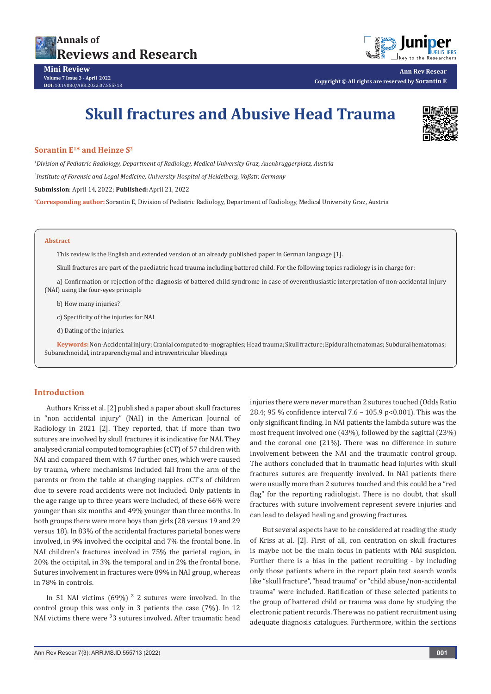



**Ann Rev Resear Copyright © All rights are reserved by Sorantin E**

# **Skull fractures and Abusive Head Trauma**



# **Sorantin E1\* and Heinze S2**

*1 Division of Pediatric Radiology, Department of Radiology, Medical University Graz, Auenbruggerplatz, Austria 2 Institute of Forensic and Legal Medicine, University Hospital of Heidelberg, Voßstr, Germany*

**Submission**: April 14, 2022; **Published:** April 21, 2022

**\* Corresponding author:** Sorantin E, Division of Pediatric Radiology, Department of Radiology, Medical University Graz, Austria

#### **Abstract**

This review is the English and extended version of an already published paper in German language [1].

Skull fractures are part of the paediatric head trauma including battered child. For the following topics radiology is in charge for:

a) Confirmation or rejection of the diagnosis of battered child syndrome in case of overenthusiastic interpretation of non-accidental injury (NAI) using the four-eyes principle

b) How many injuries?

c) Specificity of the injuries for NAI

d) Dating of the injuries.

**Keywords:** Non-Accidental injury; Cranial computed to-mographies; Head trauma; Skull fracture; Epidural hematomas; Subdural hematomas; Subarachnoidal, intraparenchymal and intraventricular bleedings

## **Introduction**

Authors Kriss et al. [2] published a paper about skull fractures in "non accidental injury" (NAI) in the American Journal of Radiology in 2021 [2]. They reported, that if more than two sutures are involved by skull fractures it is indicative for NAI. They analysed cranial computed tomographies (cCT) of 57 children with NAI and compared them with 47 further ones, which were caused by trauma, where mechanisms included fall from the arm of the parents or from the table at changing nappies. cCT's of children due to severe road accidents were not included. Only patients in the age range up to three years were included, of these 66% were younger than six months and 49% younger than three months. In both groups there were more boys than girls (28 versus 19 and 29 versus 18). In 83% of the accidental fractures parietal bones were involved, in 9% involved the occipital and 7% the frontal bone. In NAI children's fractures involved in 75% the parietal region, in 20% the occipital, in 3% the temporal and in 2% the frontal bone. Sutures involvement in fractures were 89% in NAI group, whereas in 78% in controls.

In 51 NAI victims  $(69\%)$ <sup>3</sup> 2 sutures were involved. In the control group this was only in 3 patients the case (7%). In 12 NAI victims there were <sup>3</sup>3 sutures involved. After traumatic head injuries there were never more than 2 sutures touched (Odds Ratio 28.4; 95 % confidence interval 7.6 – 105.9 p<0.001). This was the only significant finding. In NAI patients the lambda suture was the most frequent involved one (43%), followed by the sagittal (23%) and the coronal one (21%). There was no difference in suture involvement between the NAI and the traumatic control group. The authors concluded that in traumatic head injuries with skull fractures sutures are frequently involved. In NAI patients there were usually more than 2 sutures touched and this could be a "red flag" for the reporting radiologist. There is no doubt, that skull fractures with suture involvement represent severe injuries and can lead to delayed healing and growing fractures.

But several aspects have to be considered at reading the study of Kriss at al. [2]. First of all, con centration on skull fractures is maybe not be the main focus in patients with NAI suspicion. Further there is a bias in the patient recruiting - by including only those patients where in the report plain text search words like "skull fracture", "head trauma" or "child abuse/non-accidental trauma" were included. Ratification of these selected patients to the group of battered child or trauma was done by studying the electronic patient records. There was no patient recruitment using adequate diagnosis catalogues. Furthermore, within the sections